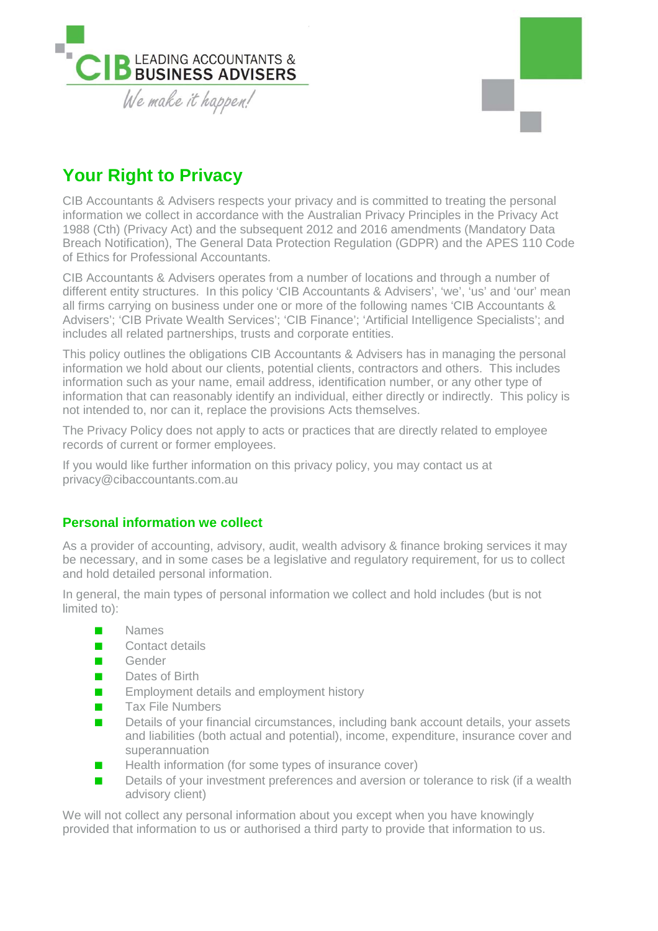



# **Your Right to Privacy**

CIB Accountants & Advisers respects your privacy and is committed to treating the personal information we collect in accordance with the Australian Privacy Principles in the Privacy Act 1988 (Cth) (Privacy Act) and the subsequent 2012 and 2016 amendments (Mandatory Data Breach Notification), The General Data Protection Regulation (GDPR) and the APES 110 Code of Ethics for Professional Accountants.

CIB Accountants & Advisers operates from a number of locations and through a number of different entity structures. In this policy 'CIB Accountants & Advisers', 'we', 'us' and 'our' mean all firms carrying on business under one or more of the following names 'CIB Accountants & Advisers'; 'CIB Private Wealth Services'; 'CIB Finance'; 'Artificial Intelligence Specialists'; and includes all related partnerships, trusts and corporate entities.

This policy outlines the obligations CIB Accountants & Advisers has in managing the personal information we hold about our clients, potential clients, contractors and others. This includes information such as your name, email address, identification number, or any other type of information that can reasonably identify an individual, either directly or indirectly. This policy is not intended to, nor can it, replace the provisions Acts themselves.

The Privacy Policy does not apply to acts or practices that are directly related to employee records of current or former employees.

If you would like further information on this privacy policy, you may contact us at privacy@cibaccountants.com.au

# **Personal information we collect**

As a provider of accounting, advisory, audit, wealth advisory & finance broking services it may be necessary, and in some cases be a legislative and regulatory requirement, for us to collect and hold detailed personal information.

In general, the main types of personal information we collect and hold includes (but is not limited to):

- *■* Names
- *■* Contact details
- *■* Gender
- *■* Dates of Birth
- *■* Employment details and employment history
- *■* Tax File Numbers
- *■* Details of your financial circumstances, including bank account details, your assets and liabilities (both actual and potential), income, expenditure, insurance cover and superannuation
- *■* Health information (for some types of insurance cover)
- *■* Details of your investment preferences and aversion or tolerance to risk (if a wealth advisory client)

We will not collect any personal information about you except when you have knowingly provided that information to us or authorised a third party to provide that information to us.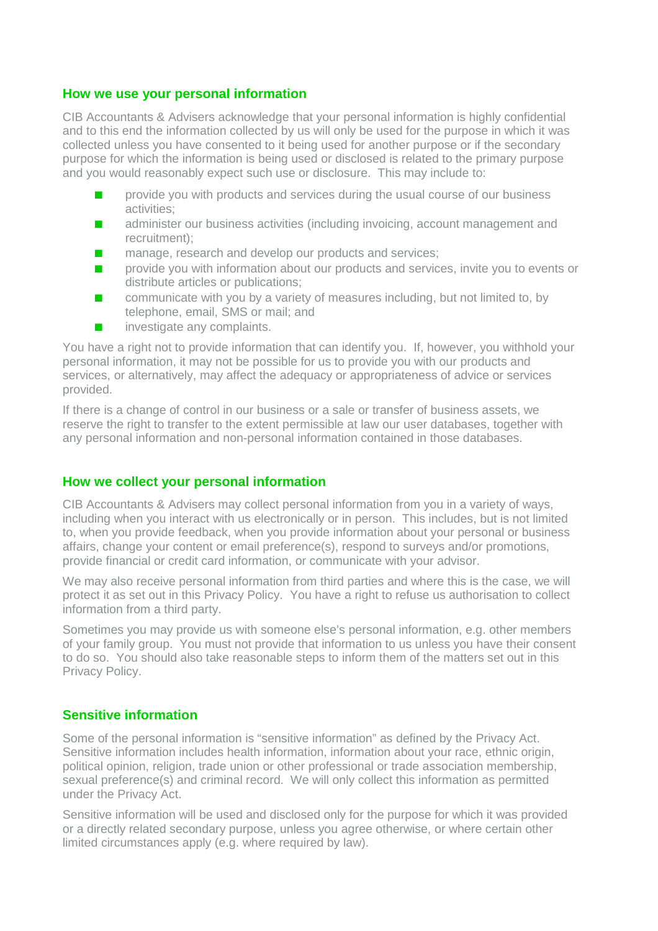### **How we use your personal information**

CIB Accountants & Advisers acknowledge that your personal information is highly confidential and to this end the information collected by us will only be used for the purpose in which it was collected unless you have consented to it being used for another purpose or if the secondary purpose for which the information is being used or disclosed is related to the primary purpose and you would reasonably expect such use or disclosure. This may include to:

- *■* provide you with products and services during the usual course of our business activities;
- *■* administer our business activities (including invoicing, account management and recruitment);
- *■* manage, research and develop our products and services;
- provide you with information about our products and services, invite you to events or distribute articles or publications;
- *■* communicate with you by a variety of measures including, but not limited to, by telephone, email, SMS or mail; and
- *■* investigate any complaints.

You have a right not to provide information that can identify you. If, however, you withhold your personal information, it may not be possible for us to provide you with our products and services, or alternatively, may affect the adequacy or appropriateness of advice or services provided.

If there is a change of control in our business or a sale or transfer of business assets, we reserve the right to transfer to the extent permissible at law our user databases, together with any personal information and non-personal information contained in those databases.

### **How we collect your personal information**

CIB Accountants & Advisers may collect personal information from you in a variety of ways, including when you interact with us electronically or in person. This includes, but is not limited to, when you provide feedback, when you provide information about your personal or business affairs, change your content or email preference(s), respond to surveys and/or promotions, provide financial or credit card information, or communicate with your advisor.

We may also receive personal information from third parties and where this is the case, we will protect it as set out in this Privacy Policy. You have a right to refuse us authorisation to collect information from a third party.

Sometimes you may provide us with someone else's personal information, e.g. other members of your family group. You must not provide that information to us unless you have their consent to do so. You should also take reasonable steps to inform them of the matters set out in this Privacy Policy.

### **Sensitive information**

Some of the personal information is "sensitive information" as defined by the Privacy Act. Sensitive information includes health information, information about your race, ethnic origin, political opinion, religion, trade union or other professional or trade association membership, sexual preference(s) and criminal record. We will only collect this information as permitted under the Privacy Act.

Sensitive information will be used and disclosed only for the purpose for which it was provided or a directly related secondary purpose, unless you agree otherwise, or where certain other limited circumstances apply (e.g. where required by law).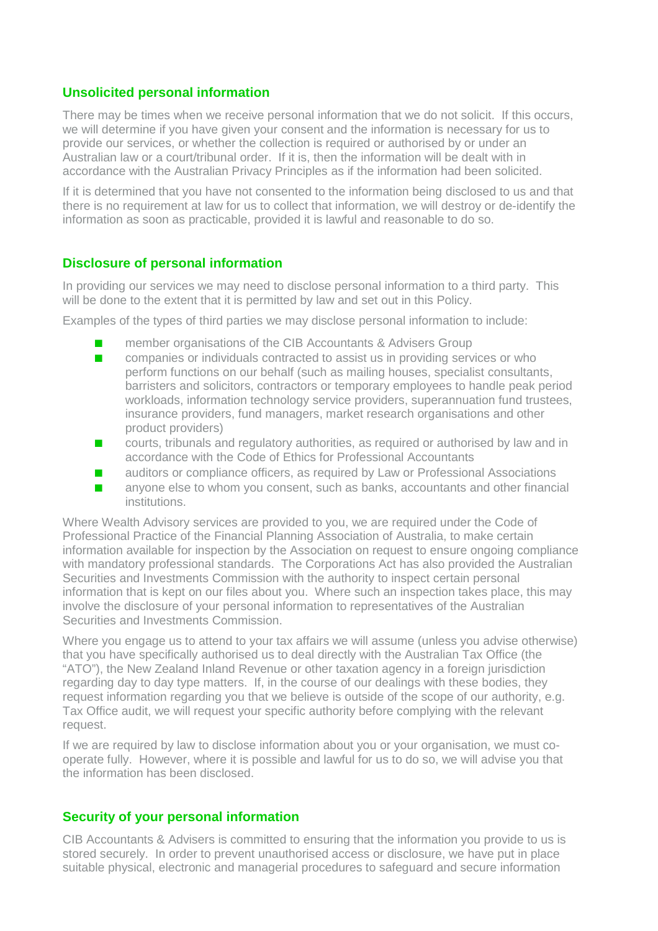### **Unsolicited personal information**

There may be times when we receive personal information that we do not solicit. If this occurs, we will determine if you have given your consent and the information is necessary for us to provide our services, or whether the collection is required or authorised by or under an Australian law or a court/tribunal order. If it is, then the information will be dealt with in accordance with the Australian Privacy Principles as if the information had been solicited.

If it is determined that you have not consented to the information being disclosed to us and that there is no requirement at law for us to collect that information, we will destroy or de-identify the information as soon as practicable, provided it is lawful and reasonable to do so.

### **Disclosure of personal information**

In providing our services we may need to disclose personal information to a third party. This will be done to the extent that it is permitted by law and set out in this Policy.

Examples of the types of third parties we may disclose personal information to include:

- member organisations of the CIB Accountants & Advisers Group
- *■* companies or individuals contracted to assist us in providing services or who perform functions on our behalf (such as mailing houses, specialist consultants, barristers and solicitors, contractors or temporary employees to handle peak period workloads, information technology service providers, superannuation fund trustees, insurance providers, fund managers, market research organisations and other product providers)
- *■* courts, tribunals and regulatory authorities, as required or authorised by law and in accordance with the Code of Ethics for Professional Accountants
- *■* auditors or compliance officers, as required by Law or Professional Associations
- *■* anyone else to whom you consent, such as banks, accountants and other financial institutions.

Where Wealth Advisory services are provided to you, we are required under the Code of Professional Practice of the Financial Planning Association of Australia, to make certain information available for inspection by the Association on request to ensure ongoing compliance with mandatory professional standards. The Corporations Act has also provided the Australian Securities and Investments Commission with the authority to inspect certain personal information that is kept on our files about you. Where such an inspection takes place, this may involve the disclosure of your personal information to representatives of the Australian Securities and Investments Commission.

Where you engage us to attend to your tax affairs we will assume (unless you advise otherwise) that you have specifically authorised us to deal directly with the Australian Tax Office (the "ATO"), the New Zealand Inland Revenue or other taxation agency in a foreign jurisdiction regarding day to day type matters. If, in the course of our dealings with these bodies, they request information regarding you that we believe is outside of the scope of our authority, e.g. Tax Office audit, we will request your specific authority before complying with the relevant request.

If we are required by law to disclose information about you or your organisation, we must cooperate fully. However, where it is possible and lawful for us to do so, we will advise you that the information has been disclosed.

### **Security of your personal information**

CIB Accountants & Advisers is committed to ensuring that the information you provide to us is stored securely. In order to prevent unauthorised access or disclosure, we have put in place suitable physical, electronic and managerial procedures to safeguard and secure information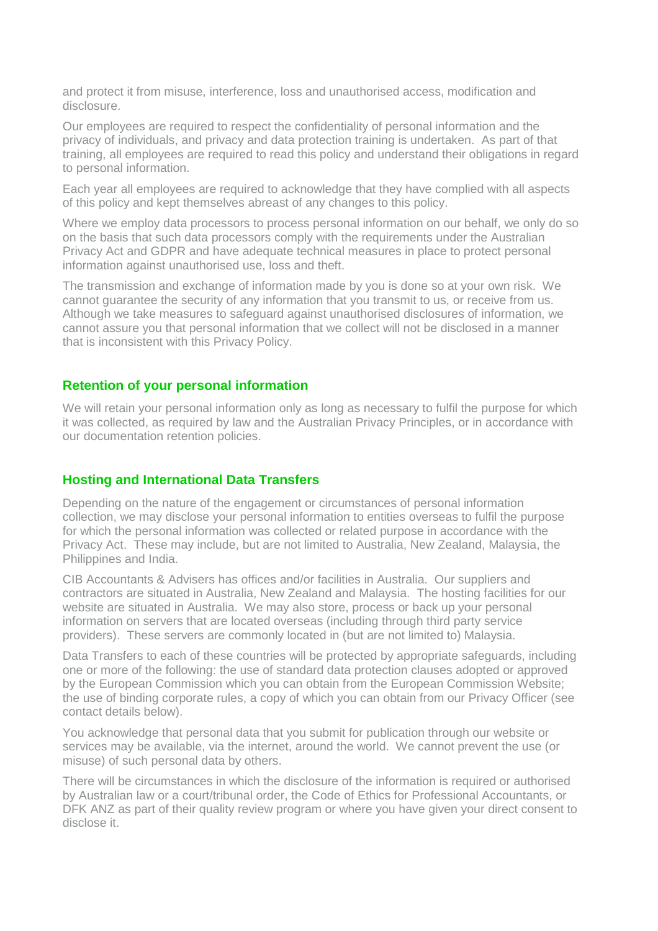and protect it from misuse, interference, loss and unauthorised access, modification and disclosure.

Our employees are required to respect the confidentiality of personal information and the privacy of individuals, and privacy and data protection training is undertaken. As part of that training, all employees are required to read this policy and understand their obligations in regard to personal information.

Each year all employees are required to acknowledge that they have complied with all aspects of this policy and kept themselves abreast of any changes to this policy.

Where we employ data processors to process personal information on our behalf, we only do so on the basis that such data processors comply with the requirements under the Australian Privacy Act and GDPR and have adequate technical measures in place to protect personal information against unauthorised use, loss and theft.

The transmission and exchange of information made by you is done so at your own risk. We cannot guarantee the security of any information that you transmit to us, or receive from us. Although we take measures to safeguard against unauthorised disclosures of information, we cannot assure you that personal information that we collect will not be disclosed in a manner that is inconsistent with this Privacy Policy.

### **Retention of your personal information**

We will retain your personal information only as long as necessary to fulfil the purpose for which it was collected, as required by law and the Australian Privacy Principles, or in accordance with our documentation retention policies.

### **Hosting and International Data Transfers**

Depending on the nature of the engagement or circumstances of personal information collection, we may disclose your personal information to entities overseas to fulfil the purpose for which the personal information was collected or related purpose in accordance with the Privacy Act. These may include, but are not limited to Australia, New Zealand, Malaysia, the Philippines and India.

CIB Accountants & Advisers has offices and/or facilities in Australia. Our suppliers and contractors are situated in Australia, New Zealand and Malaysia. The hosting facilities for our website are situated in Australia. We may also store, process or back up your personal information on servers that are located overseas (including through third party service providers). These servers are commonly located in (but are not limited to) Malaysia.

Data Transfers to each of these countries will be protected by appropriate safeguards, including one or more of the following: the use of standard data protection clauses adopted or approved by the European Commission which you can obtain from the European Commission Website; the use of binding corporate rules, a copy of which you can obtain from our Privacy Officer (see contact details below).

You acknowledge that personal data that you submit for publication through our website or services may be available, via the internet, around the world. We cannot prevent the use (or misuse) of such personal data by others.

There will be circumstances in which the disclosure of the information is required or authorised by Australian law or a court/tribunal order, the Code of Ethics for Professional Accountants, or DFK ANZ as part of their quality review program or where you have given your direct consent to disclose it.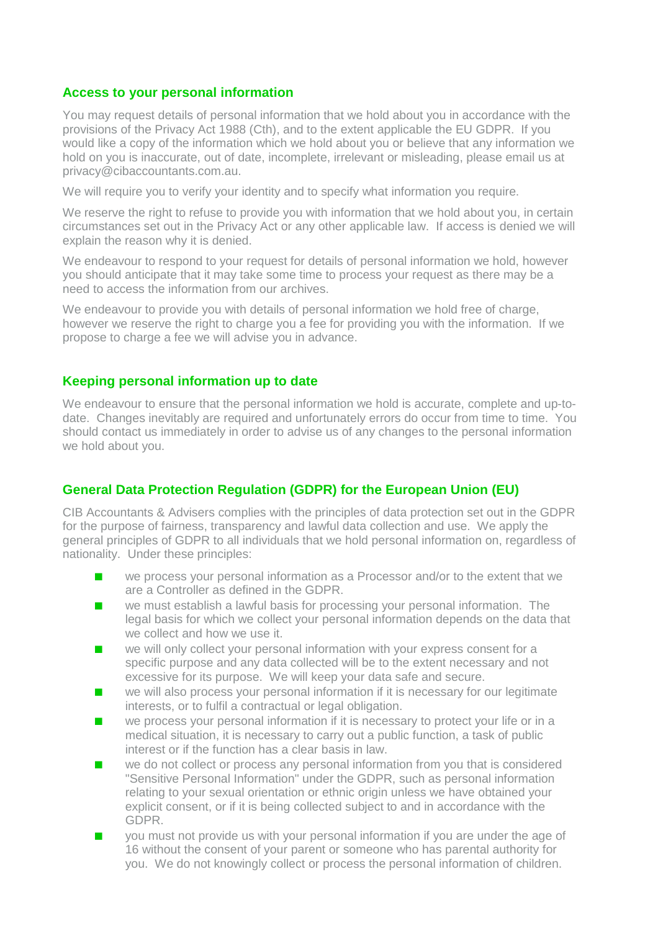### **Access to your personal information**

You may request details of personal information that we hold about you in accordance with the provisions of the Privacy Act 1988 (Cth), and to the extent applicable the EU GDPR. If you would like a copy of the information which we hold about you or believe that any information we hold on you is inaccurate, out of date, incomplete, irrelevant or misleading, please email us at privacy@cibaccountants.com.au.

We will require you to verify your identity and to specify what information you require.

We reserve the right to refuse to provide you with information that we hold about you, in certain circumstances set out in the Privacy Act or any other applicable law. If access is denied we will explain the reason why it is denied.

We endeavour to respond to your request for details of personal information we hold, however you should anticipate that it may take some time to process your request as there may be a need to access the information from our archives.

We endeavour to provide you with details of personal information we hold free of charge. however we reserve the right to charge you a fee for providing you with the information. If we propose to charge a fee we will advise you in advance.

# **Keeping personal information up to date**

We endeavour to ensure that the personal information we hold is accurate, complete and up-todate. Changes inevitably are required and unfortunately errors do occur from time to time. You should contact us immediately in order to advise us of any changes to the personal information we hold about you.

# **General Data Protection Regulation (GDPR) for the European Union (EU)**

CIB Accountants & Advisers complies with the principles of data protection set out in the GDPR for the purpose of fairness, transparency and lawful data collection and use. We apply the general principles of GDPR to all individuals that we hold personal information on, regardless of nationality. Under these principles:

- *■* we process your personal information as a Processor and/or to the extent that we are a Controller as defined in the GDPR.
- *■* we must establish a lawful basis for processing your personal information. The legal basis for which we collect your personal information depends on the data that we collect and how we use it.
- *■* we will only collect your personal information with your express consent for a specific purpose and any data collected will be to the extent necessary and not excessive for its purpose. We will keep your data safe and secure.
- *■* we will also process your personal information if it is necessary for our legitimate interests, or to fulfil a contractual or legal obligation.
- *■* we process your personal information if it is necessary to protect your life or in a medical situation, it is necessary to carry out a public function, a task of public interest or if the function has a clear basis in law.
- *■* we do not collect or process any personal information from you that is considered "Sensitive Personal Information" under the GDPR, such as personal information relating to your sexual orientation or ethnic origin unless we have obtained your explicit consent, or if it is being collected subject to and in accordance with the GDPR.
- you must not provide us with your personal information if you are under the age of 16 without the consent of your parent or someone who has parental authority for you. We do not knowingly collect or process the personal information of children.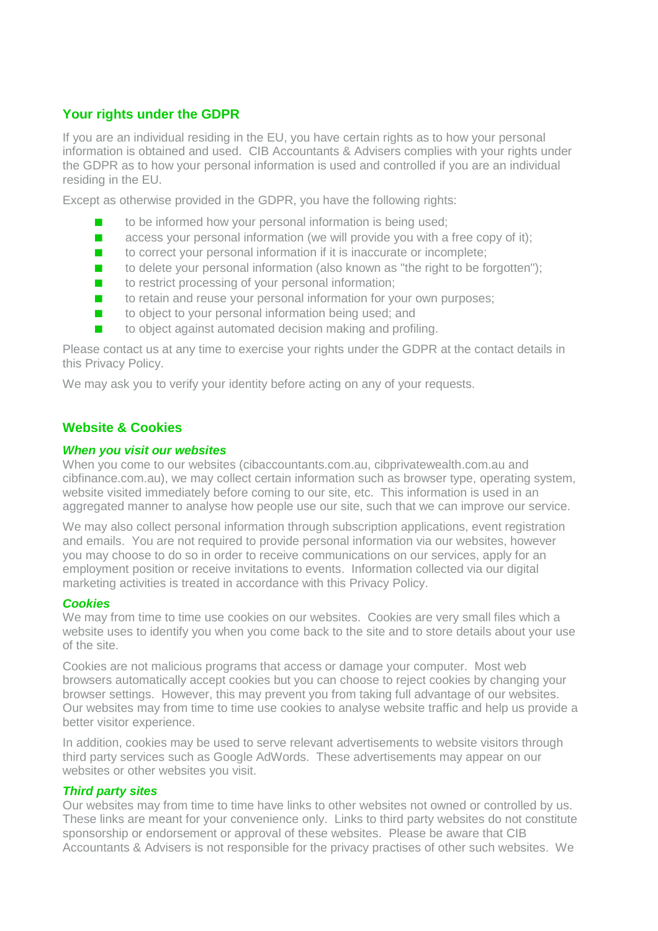# **Your rights under the GDPR**

If you are an individual residing in the EU, you have certain rights as to how your personal information is obtained and used. CIB Accountants & Advisers complies with your rights under the GDPR as to how your personal information is used and controlled if you are an individual residing in the EU.

Except as otherwise provided in the GDPR, you have the following rights:

- to be informed how your personal information is being used;<br>■ access your personal information (we will provide you with a
- access your personal information (we will provide you with a free copy of it);
- *■* to correct your personal information if it is inaccurate or incomplete;
- to delete your personal information (also known as "the right to be forgotten");
- *■* to restrict processing of your personal information;
- *■* to retain and reuse your personal information for your own purposes;
- *■* to object to your personal information being used; and
- *■* to object against automated decision making and profiling.

Please contact us at any time to exercise your rights under the GDPR at the contact details in this Privacy Policy.

We may ask you to verify your identity before acting on any of your requests.

### **Website & Cookies**

#### *When you visit our websites*

When you come to our websites (cibaccountants.com.au, cibprivatewealth.com.au and cibfinance.com.au), we may collect certain information such as browser type, operating system, website visited immediately before coming to our site, etc. This information is used in an aggregated manner to analyse how people use our site, such that we can improve our service.

We may also collect personal information through subscription applications, event registration and emails. You are not required to provide personal information via our websites, however you may choose to do so in order to receive communications on our services, apply for an employment position or receive invitations to events. Information collected via our digital marketing activities is treated in accordance with this Privacy Policy.

#### *Cookies*

We may from time to time use cookies on our websites. Cookies are very small files which a website uses to identify you when you come back to the site and to store details about your use of the site.

Cookies are not malicious programs that access or damage your computer. Most web browsers automatically accept cookies but you can choose to reject cookies by changing your browser settings. However, this may prevent you from taking full advantage of our websites. Our websites may from time to time use cookies to analyse website traffic and help us provide a better visitor experience.

In addition, cookies may be used to serve relevant advertisements to website visitors through third party services such as Google AdWords. These advertisements may appear on our websites or other websites you visit.

#### *Third party sites*

Our websites may from time to time have links to other websites not owned or controlled by us. These links are meant for your convenience only. Links to third party websites do not constitute sponsorship or endorsement or approval of these websites. Please be aware that CIB Accountants & Advisers is not responsible for the privacy practises of other such websites. We